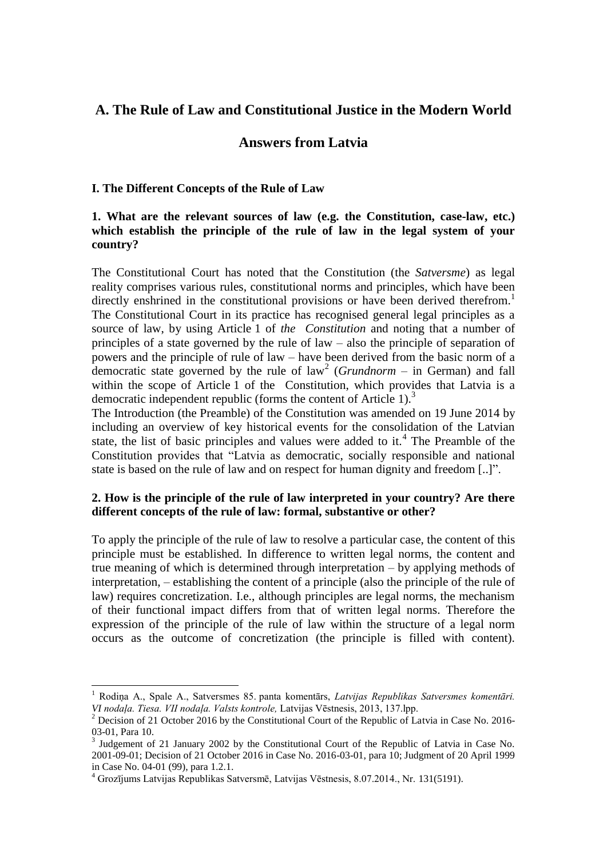# **A. The Rule of Law and Constitutional Justice in the Modern World**

# **Answers from Latvia**

### **I. The Different Concepts of the Rule of Law**

### **1. What are the relevant sources of law (e.g. the Constitution, case-law, etc.) which establish the principle of the rule of law in the legal system of your country?**

The Constitutional Court has noted that the Constitution (the *Satversme*) as legal reality comprises various rules, constitutional norms and principles, which have been directly enshrined in the constitutional provisions or have been derived therefrom.<sup>1</sup> The Constitutional Court in its practice has recognised general legal principles as a source of law, by using Article 1 of *the Constitution* and noting that a number of principles of a state governed by the rule of law – also the principle of separation of powers and the principle of rule of law – have been derived from the basic norm of a democratic state governed by the rule of  $law<sup>2</sup>$  (*Grundnorm* – in German) and fall within the scope of Article 1 of the Constitution, which provides that Latvia is a democratic independent republic (forms the content of Article 1).<sup>3</sup>

The Introduction (the Preamble) of the Constitution was amended on 19 June 2014 by including an overview of key historical events for the consolidation of the Latvian state, the list of basic principles and values were added to it.<sup>4</sup> The Preamble of the Constitution provides that "Latvia as democratic, socially responsible and national state is based on the rule of law and on respect for human dignity and freedom [..]".

## **2. How is the principle of the rule of law interpreted in your country? Are there different concepts of the rule of law: formal, substantive or other?**

To apply the principle of the rule of law to resolve a particular case, the content of this principle must be established. In difference to written legal norms, the content and true meaning of which is determined through interpretation – by applying methods of interpretation, – establishing the content of a principle (also the principle of the rule of law) requires concretization. I.e., although principles are legal norms, the mechanism of their functional impact differs from that of written legal norms. Therefore the expression of the principle of the rule of law within the structure of a legal norm occurs as the outcome of concretization (the principle is filled with content).

<sup>1</sup> Rodiņa A., Spale A., Satversmes 85. panta komentārs, *Latvijas Republikas Satversmes komentāri. VI nodaļa. Tiesa. VII nodaļa. Valsts kontrole,* Latvijas Vēstnesis, 2013, 137.lpp.

<sup>&</sup>lt;sup>2</sup> Decision of 21 October 2016 by the Constitutional Court of the Republic of Latvia in Case No. 2016-03-01, Para 10.

<sup>&</sup>lt;sup>3</sup> Judgement of 21 January 2002 by the Constitutional Court of the Republic of Latvia in Case No. 2001-09-01; Decision of 21 October 2016 in Case No. 2016-03-01, para 10; Judgment of 20 April 1999 in Case No. 04-01 (99), para 1.2.1.

<sup>4</sup> Grozījums Latvijas Republikas Satversmē, Latvijas Vēstnesis, 8.07.2014., Nr. 131(5191).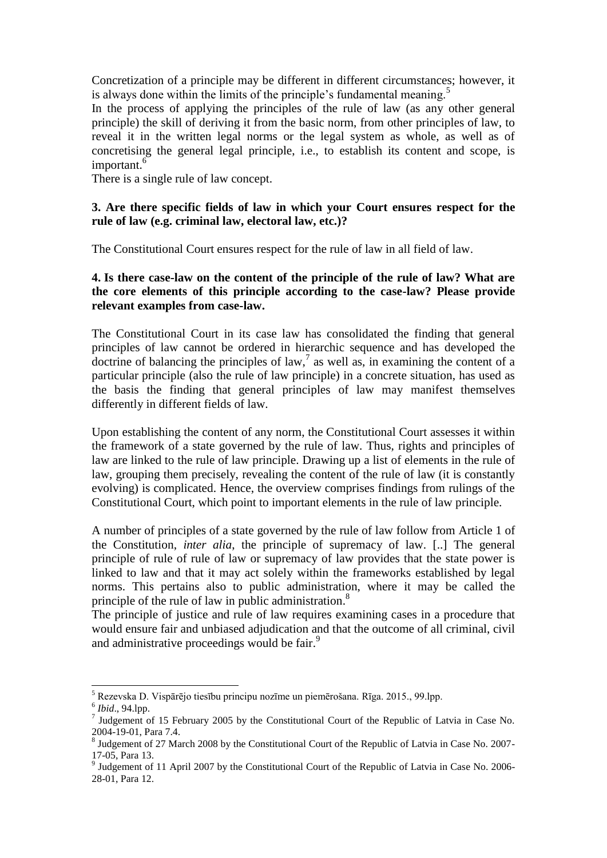Concretization of a principle may be different in different circumstances; however, it is always done within the limits of the principle's fundamental meaning.<sup>5</sup>

In the process of applying the principles of the rule of law (as any other general principle) the skill of deriving it from the basic norm, from other principles of law, to reveal it in the written legal norms or the legal system as whole, as well as of concretising the general legal principle, i.e., to establish its content and scope, is important.<sup>6</sup>

There is a single rule of law concept.

### **3. Are there specific fields of law in which your Court ensures respect for the rule of law (e.g. criminal law, electoral law, etc.)?**

The Constitutional Court ensures respect for the rule of law in all field of law.

### **4. Is there case-law on the content of the principle of the rule of law? What are the core elements of this principle according to the case-law? Please provide relevant examples from case-law.**

The Constitutional Court in its case law has consolidated the finding that general principles of law cannot be ordered in hierarchic sequence and has developed the doctrine of balancing the principles of law,  $7$  as well as, in examining the content of a particular principle (also the rule of law principle) in a concrete situation, has used as the basis the finding that general principles of law may manifest themselves differently in different fields of law.

Upon establishing the content of any norm, the Constitutional Court assesses it within the framework of a state governed by the rule of law. Thus, rights and principles of law are linked to the rule of law principle. Drawing up a list of elements in the rule of law, grouping them precisely, revealing the content of the rule of law (it is constantly evolving) is complicated. Hence, the overview comprises findings from rulings of the Constitutional Court, which point to important elements in the rule of law principle.

A number of principles of a state governed by the rule of law follow from Article 1 of the Constitution, *inter alia*, the principle of supremacy of law. [..] The general principle of rule of rule of law or supremacy of law provides that the state power is linked to law and that it may act solely within the frameworks established by legal norms. This pertains also to public administration, where it may be called the principle of the rule of law in public administration.<sup>8</sup>

The principle of justice and rule of law requires examining cases in a procedure that would ensure fair and unbiased adjudication and that the outcome of all criminal, civil and administrative proceedings would be fair.<sup>9</sup>

<sup>-</sup><sup>5</sup> Rezevska D. Vispārējo tiesību principu nozīme un piemērošana. Rīga. 2015., 99.lpp.

<sup>6</sup> *Ibid*., 94.lpp.

<sup>&</sup>lt;sup>7</sup> Judgement of 15 February 2005 by the Constitutional Court of the Republic of Latvia in Case No. 2004-19-01, Para 7.4.

<sup>&</sup>lt;sup>8</sup> Judgement of 27 March 2008 by the Constitutional Court of the Republic of Latvia in Case No. 2007-17-05, Para 13.

<sup>&</sup>lt;sup>9</sup> Judgement of 11 April 2007 by the Constitutional Court of the Republic of Latvia in Case No. 2006-28-01, Para 12.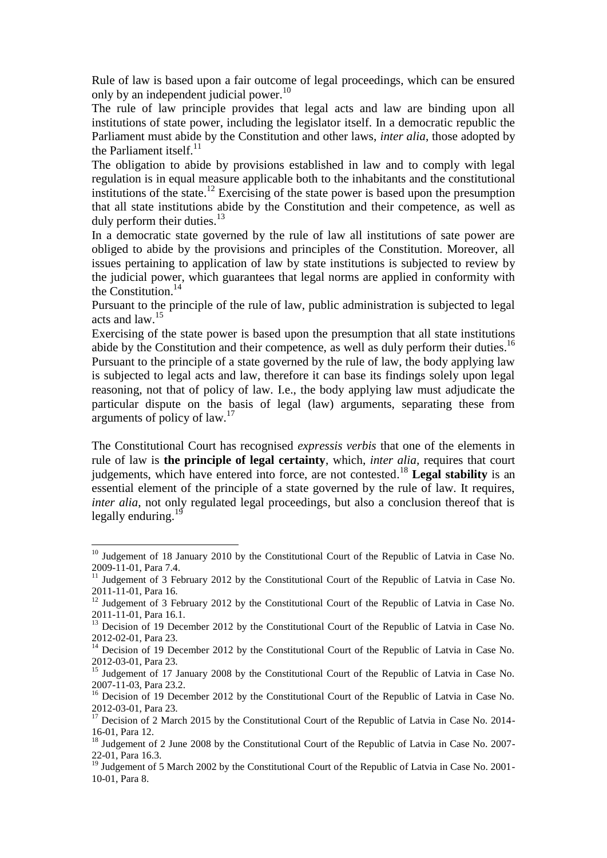Rule of law is based upon a fair outcome of legal proceedings, which can be ensured only by an independent judicial power.<sup>10</sup>

The rule of law principle provides that legal acts and law are binding upon all institutions of state power, including the legislator itself. In a democratic republic the Parliament must abide by the Constitution and other laws, *inter alia*, those adopted by the Parliament itself.<sup>11</sup>

The obligation to abide by provisions established in law and to comply with legal regulation is in equal measure applicable both to the inhabitants and the constitutional institutions of the state. <sup>12</sup> Exercising of the state power is based upon the presumption that all state institutions abide by the Constitution and their competence, as well as duly perform their duties.<sup>13</sup>

In a democratic state governed by the rule of law all institutions of sate power are obliged to abide by the provisions and principles of the Constitution. Moreover, all issues pertaining to application of law by state institutions is subjected to review by the judicial power, which guarantees that legal norms are applied in conformity with the Constitution. 14

Pursuant to the principle of the rule of law, public administration is subjected to legal acts and law. 15

Exercising of the state power is based upon the presumption that all state institutions abide by the Constitution and their competence, as well as duly perform their duties.<sup>16</sup> Pursuant to the principle of a state governed by the rule of law, the body applying law is subjected to legal acts and law, therefore it can base its findings solely upon legal reasoning, not that of policy of law. I.e., the body applying law must adjudicate the particular dispute on the basis of legal (law) arguments, separating these from arguments of policy of law.<sup>17</sup>

The Constitutional Court has recognised *expressis verbis* that one of the elements in rule of law is **the principle of legal certainty**, which, *inter alia,* requires that court judgements, which have entered into force, are not contested. <sup>18</sup> **Legal stability** is an essential element of the principle of a state governed by the rule of law. It requires, *inter alia*, not only regulated legal proceedings, but also a conclusion thereof that is legally enduring.<sup>19</sup>

<sup>&</sup>lt;sup>10</sup> Judgement of 18 January 2010 by the Constitutional Court of the Republic of Latvia in Case No. 2009-11-01, Para 7.4.

<sup>&</sup>lt;sup>11</sup> Judgement of 3 February 2012 by the Constitutional Court of the Republic of Latvia in Case No. 2011-11-01, Para 16.

<sup>&</sup>lt;sup>12</sup> Judgement of 3 February 2012 by the Constitutional Court of the Republic of Latvia in Case No. 2011-11-01, Para 16.1.

<sup>&</sup>lt;sup>13</sup> Decision of 19 December 2012 by the Constitutional Court of the Republic of Latvia in Case No. 2012-02-01, Para 23.

<sup>&</sup>lt;sup>14</sup> Decision of 19 December 2012 by the Constitutional Court of the Republic of Latvia in Case No. 2012-03-01, Para 23.

<sup>&</sup>lt;sup>15</sup> Judgement of 17 January 2008 by the Constitutional Court of the Republic of Latvia in Case No. 2007-11-03, Para 23.2.

<sup>&</sup>lt;sup>16</sup> Decision of 19 December 2012 by the Constitutional Court of the Republic of Latvia in Case No. 2012-03-01, Para 23.

<sup>&</sup>lt;sup>17</sup> Decision of 2 March 2015 by the Constitutional Court of the Republic of Latvia in Case No. 2014-16-01, Para 12.

<sup>&</sup>lt;sup>18</sup> Judgement of 2 June 2008 by the Constitutional Court of the Republic of Latvia in Case No. 2007-22-01, Para 16.3.

<sup>&</sup>lt;sup>19</sup> Judgement of 5 March 2002 by the Constitutional Court of the Republic of Latvia in Case No. 2001-10-01, Para 8.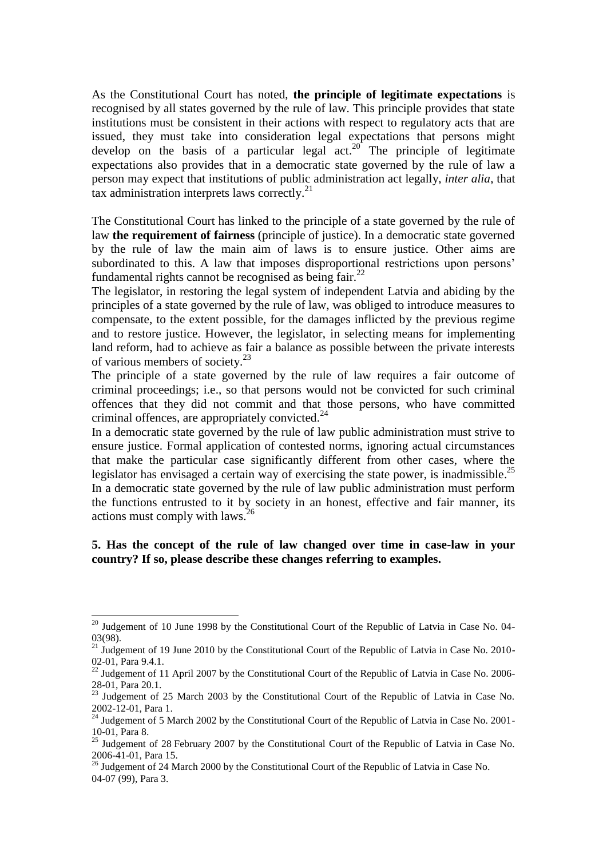As the Constitutional Court has noted, **the principle of legitimate expectations** is recognised by all states governed by the rule of law. This principle provides that state institutions must be consistent in their actions with respect to regulatory acts that are issued, they must take into consideration legal expectations that persons might develop on the basis of a particular legal  $act.^{20}$ . The principle of legitimate expectations also provides that in a democratic state governed by the rule of law a person may expect that institutions of public administration act legally, *inter alia*, that tax administration interprets laws correctly.<sup>21</sup>

The Constitutional Court has linked to the principle of a state governed by the rule of law **the requirement of fairness** (principle of justice). In a democratic state governed by the rule of law the main aim of laws is to ensure justice. Other aims are subordinated to this. A law that imposes disproportional restrictions upon persons' fundamental rights cannot be recognised as being fair.<sup>22</sup>

The legislator, in restoring the legal system of independent Latvia and abiding by the principles of a state governed by the rule of law, was obliged to introduce measures to compensate, to the extent possible, for the damages inflicted by the previous regime and to restore justice. However, the legislator, in selecting means for implementing land reform, had to achieve as fair a balance as possible between the private interests of various members of society.<sup>23</sup>

The principle of a state governed by the rule of law requires a fair outcome of criminal proceedings; i.e., so that persons would not be convicted for such criminal offences that they did not commit and that those persons, who have committed criminal offences, are appropriately convicted.<sup>24</sup>

In a democratic state governed by the rule of law public administration must strive to ensure justice. Formal application of contested norms, ignoring actual circumstances that make the particular case significantly different from other cases, where the legislator has envisaged a certain way of exercising the state power, is inadmissible.<sup>25</sup> In a democratic state governed by the rule of law public administration must perform the functions entrusted to it by society in an honest, effective and fair manner, its actions must comply with laws. 26

#### **5. Has the concept of the rule of law changed over time in case-law in your country? If so, please describe these changes referring to examples.**

 $^{20}$  Judgement of 10 June 1998 by the Constitutional Court of the Republic of Latvia in Case No. 04-03(98).

<sup>&</sup>lt;sup>21</sup> Judgement of 19 June 2010 by the Constitutional Court of the Republic of Latvia in Case No. 2010-02-01, Para 9.4.1.

 $^{22}$  Judgement of 11 April 2007 by the Constitutional Court of the Republic of Latvia in Case No. 2006-28-01, Para 20.1.

 $^{23}$  Judgement of 25 March 2003 by the Constitutional Court of the Republic of Latvia in Case No. 2002-12-01, Para 1.

<sup>&</sup>lt;sup>24</sup> Judgement of 5 March 2002 by the Constitutional Court of the Republic of Latvia in Case No. 2001-10-01, Para 8.

<sup>&</sup>lt;sup>25</sup> Judgement of 28 February 2007 by the Constitutional Court of the Republic of Latvia in Case No. 2006-41-01, Para 15.

 $\frac{26}{3}$  Judgement of 24 March 2000 by the Constitutional Court of the Republic of Latvia in Case No. 04-07 (99), Para 3.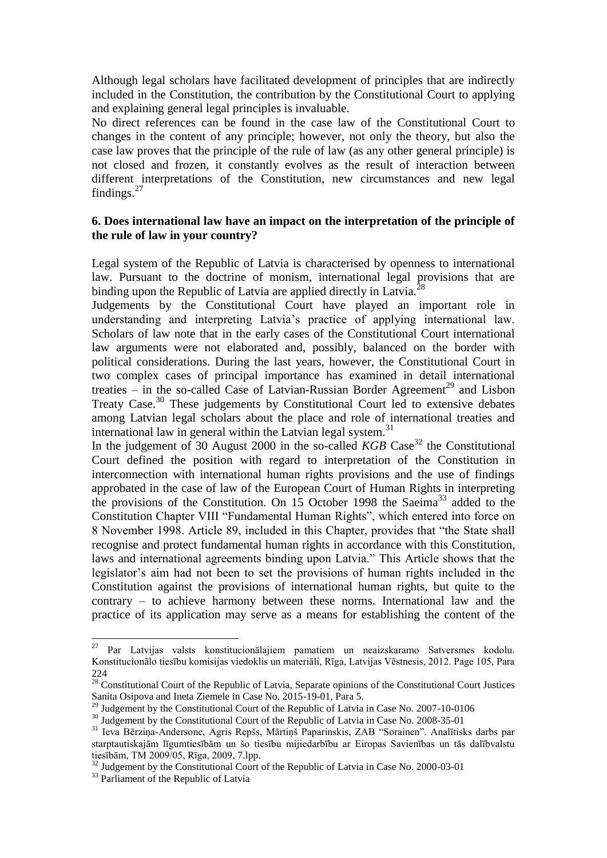Although legal scholars have facilitated development of principles that are indirectly included in the Constitution, the contribution by the Constitutional Court to applying and explaining general legal principles is invaluable.

No direct references can be found in the case law of the Constitutional Court to changes in the content of any principle; however, not only the theory, but also the case law proves that the principle of the rule of law (as any other general principle) is not closed and frozen, it constantly evolves as the result of interaction between different interpretations of the Constitution, new circumstances and new legal findings. $27$ 

### **6. Does international law have an impact on the interpretation of the principle of the rule of law in your country?**

Legal system of the Republic of Latvia is characterised by openness to international law. Pursuant to the doctrine of monism, international legal provisions that are binding upon the Republic of Latvia are applied directly in Latvia.<sup>2</sup>

Judgements by the Constitutional Court have played an important role in understanding and interpreting Latvia's practice of applying international law. Scholars of law note that in the early cases of the Constitutional Court international law arguments were not elaborated and, possibly, balanced on the border with political considerations. During the last years, however, the Constitutional Court in two complex cases of principal importance has examined in detail international treaties – in the so-called Case of Latvian-Russian Border Agreement<sup>29</sup> and Lisbon Treaty Case.<sup>30</sup> These judgements by Constitutional Court led to extensive debates among Latvian legal scholars about the place and role of international treaties and international law in general within the Latvian legal system. $31$ 

In the judgement of 30 August 2000 in the so-called *KGB* Case<sup>32</sup> the Constitutional Court defined the position with regard to interpretation of the Constitution in interconnection with international human rights provisions and the use of findings approbated in the case of law of the European Court of Human Rights in interpreting the provisions of the Constitution. On  $15$  October 1998 the Saeima<sup>33</sup> added to the Constitution Chapter VIII "Fundamental Human Rights", which entered into force on 8 November 1998. Article 89, included in this Chapter, provides that "the State shall recognise and protect fundamental human rights in accordance with this Constitution, laws and international agreements binding upon Latvia." This Article shows that the legislator's aim had not been to set the provisions of human rights included in the Constitution against the provisions of international human rights, but quite to the contrary – to achieve harmony between these norms. International law and the practice of its application may serve as a means for establishing the content of the

<sup>27</sup> <sup>27</sup> Par Latvijas valsts konstitucionālajiem pamatiem un neaizskaramo Satversmes kodolu. Konstitucionālo tiesību komisijas viedoklis un materiāli, Rīga, Latvijas Vēstnesis, 2012. Page 105, Para 224

 $28$  Constitutional Court of the Republic of Latvia, Separate opinions of the Constitutional Court Justices Sanita Osipova and Ineta Ziemele in Case No. 2015-19-01, Para 5.

 $^{29}$  Judgement by the Constitutional Court of the Republic of Latvia in Case No. 2007-10-0106

<sup>&</sup>lt;sup>30</sup> Judgement by the Constitutional Court of the Republic of Latvia in Case No. 2008-35-01

<sup>31</sup> Ieva Bērziņa-Andersone, Agris Repšs, Mārtiņš Paparinskis, ZAB "Sorainen". Analītisks darbs par starptautiskajām līgumtiesībām un šo tiesību mijiedarbību ar Eiropas Savienības un tās dalībvalstu tiesībām, TM 2009/05, Rīga, 2009, 7.lpp.

<sup>&</sup>lt;sup>32</sup> Judgement by the Constitutional Court of the Republic of Latvia in Case No. 2000-03-01

<sup>&</sup>lt;sup>33</sup> Parliament of the Republic of Latvia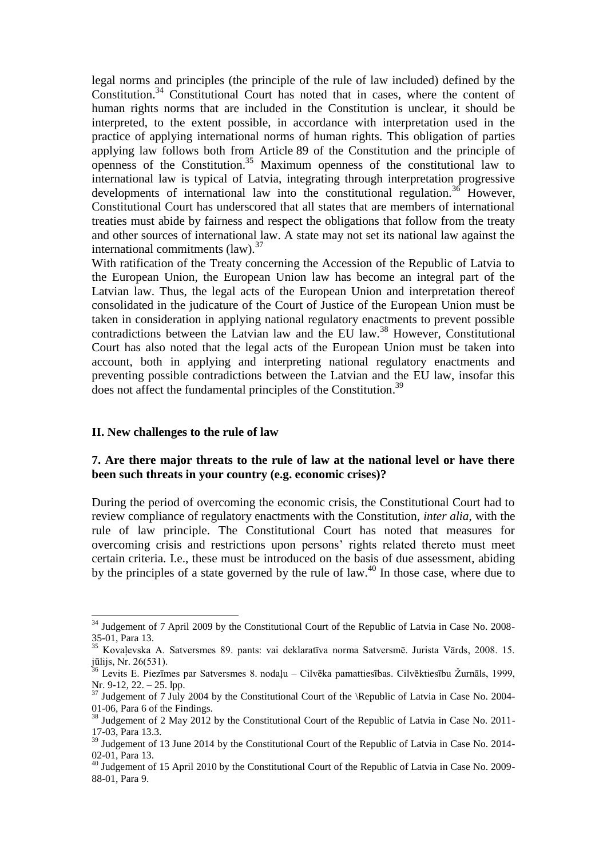legal norms and principles (the principle of the rule of law included) defined by the Constitution. <sup>34</sup> Constitutional Court has noted that in cases, where the content of human rights norms that are included in the Constitution is unclear, it should be interpreted, to the extent possible, in accordance with interpretation used in the practice of applying international norms of human rights. This obligation of parties applying law follows both from Article 89 of the Constitution and the principle of openness of the Constitution. <sup>35</sup> Maximum openness of the constitutional law to international law is typical of Latvia, integrating through interpretation progressive developments of international law into the constitutional regulation.<sup>36</sup> However, Constitutional Court has underscored that all states that are members of international treaties must abide by fairness and respect the obligations that follow from the treaty and other sources of international law. A state may not set its national law against the international commitments (law).<sup>37</sup>

With ratification of the Treaty concerning the Accession of the Republic of Latvia to the European Union, the European Union law has become an integral part of the Latvian law. Thus, the legal acts of the European Union and interpretation thereof consolidated in the judicature of the Court of Justice of the European Union must be taken in consideration in applying national regulatory enactments to prevent possible contradictions between the Latvian law and the EU law.<sup>38</sup> However, Constitutional Court has also noted that the legal acts of the European Union must be taken into account, both in applying and interpreting national regulatory enactments and preventing possible contradictions between the Latvian and the EU law, insofar this does not affect the fundamental principles of the Constitution.<sup>39</sup>

#### **II. New challenges to the rule of law**

-

#### **7. Are there major threats to the rule of law at the national level or have there been such threats in your country (e.g. economic crises)?**

During the period of overcoming the economic crisis, the Constitutional Court had to review compliance of regulatory enactments with the Constitution, *inter alia*, with the rule of law principle. The Constitutional Court has noted that measures for overcoming crisis and restrictions upon persons' rights related thereto must meet certain criteria. I.e., these must be introduced on the basis of due assessment, abiding by the principles of a state governed by the rule of law.<sup>40</sup> In those case, where due to

 $34$  Judgement of 7 April 2009 by the Constitutional Court of the Republic of Latvia in Case No. 2008-35-01, Para 13.

<sup>35</sup> Kovaļevska A. Satversmes 89. pants: vai deklaratīva norma Satversmē. Jurista Vārds, 2008. 15. jūlijs, Nr. 26(531).

<sup>36</sup> Levits E. Piezīmes par Satversmes 8. nodaļu – Cilvēka pamattiesības. Cilvēktiesību Žurnāls, 1999, Nr. 9-12, 22. – 25. lpp.

 $37$  Judgement of 7 July 2004 by the Constitutional Court of the \Republic of Latvia in Case No. 2004-01-06, Para 6 of the Findings.

<sup>&</sup>lt;sup>38</sup> Judgement of 2 May 2012 by the Constitutional Court of the Republic of Latvia in Case No. 2011-17-03, Para 13.3.

<sup>&</sup>lt;sup>39</sup> Judgement of 13 June 2014 by the Constitutional Court of the Republic of Latvia in Case No. 2014-02-01, Para 13.

<sup>&</sup>lt;sup>40</sup> Judgement of 15 April 2010 by the Constitutional Court of the Republic of Latvia in Case No. 2009-88-01, Para 9.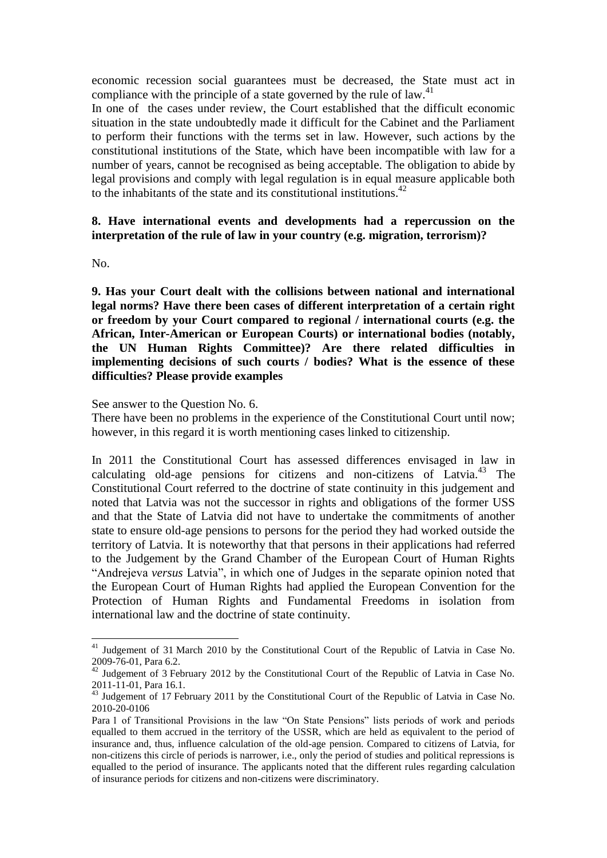economic recession social guarantees must be decreased, the State must act in compliance with the principle of a state governed by the rule of law. $41$ 

In one of the cases under review, the Court established that the difficult economic situation in the state undoubtedly made it difficult for the Cabinet and the Parliament to perform their functions with the terms set in law. However, such actions by the constitutional institutions of the State, which have been incompatible with law for a number of years, cannot be recognised as being acceptable. The obligation to abide by legal provisions and comply with legal regulation is in equal measure applicable both to the inhabitants of the state and its constitutional institutions. 42

### **8. Have international events and developments had a repercussion on the interpretation of the rule of law in your country (e.g. migration, terrorism)?**

No.

1

**9. Has your Court dealt with the collisions between national and international legal norms? Have there been cases of different interpretation of a certain right or freedom by your Court compared to regional / international courts (e.g. the African, Inter-American or European Courts) or international bodies (notably, the UN Human Rights Committee)? Are there related difficulties in implementing decisions of such courts / bodies? What is the essence of these difficulties? Please provide examples**

See answer to the Question No. 6.

There have been no problems in the experience of the Constitutional Court until now; however, in this regard it is worth mentioning cases linked to citizenship.

In 2011 the Constitutional Court has assessed differences envisaged in law in calculating old-age pensions for citizens and non-citizens of Latvia.<sup>43</sup> The Constitutional Court referred to the doctrine of state continuity in this judgement and noted that Latvia was not the successor in rights and obligations of the former USS and that the State of Latvia did not have to undertake the commitments of another state to ensure old-age pensions to persons for the period they had worked outside the territory of Latvia. It is noteworthy that that persons in their applications had referred to the Judgement by the Grand Chamber of the European Court of Human Rights "Andrejeva *versus* Latvia", in which one of Judges in the separate opinion noted that the European Court of Human Rights had applied the European Convention for the Protection of Human Rights and Fundamental Freedoms in isolation from international law and the doctrine of state continuity.

<sup>&</sup>lt;sup>41</sup> Judgement of 31 March 2010 by the Constitutional Court of the Republic of Latvia in Case No. 2009-76-01, Para 6.2.

<sup>&</sup>lt;sup>42</sup> Judgement of 3 February 2012 by the Constitutional Court of the Republic of Latvia in Case No. 2011-11-01, Para 16.1.

<sup>&</sup>lt;sup>43</sup> Judgement of 17 February 2011 by the Constitutional Court of the Republic of Latvia in Case No. 2010-20-0106

Para 1 of Transitional Provisions in the law "On State Pensions" lists periods of work and periods equalled to them accrued in the territory of the USSR, which are held as equivalent to the period of insurance and, thus, influence calculation of the old-age pension. Compared to citizens of Latvia, for non-citizens this circle of periods is narrower, i.e., only the period of studies and political repressions is equalled to the period of insurance. The applicants noted that the different rules regarding calculation of insurance periods for citizens and non-citizens were discriminatory.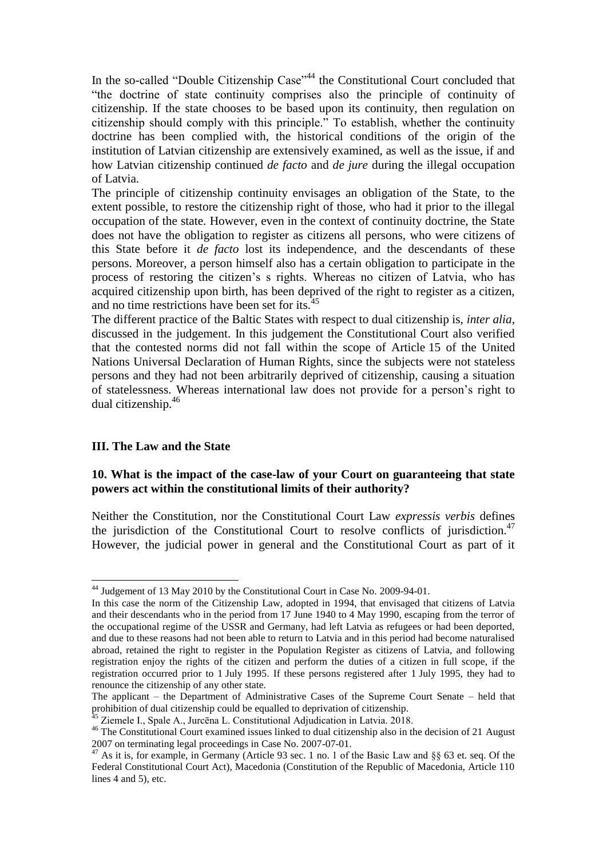In the so-called "Double Citizenship Case"<sup>44</sup> the Constitutional Court concluded that "the doctrine of state continuity comprises also the principle of continuity of citizenship. If the state chooses to be based upon its continuity, then regulation on citizenship should comply with this principle." To establish, whether the continuity doctrine has been complied with, the historical conditions of the origin of the institution of Latvian citizenship are extensively examined, as well as the issue, if and how Latvian citizenship continued *de facto* and *de jure* during the illegal occupation of Latvia.

The principle of citizenship continuity envisages an obligation of the State, to the extent possible, to restore the citizenship right of those, who had it prior to the illegal occupation of the state. However, even in the context of continuity doctrine, the State does not have the obligation to register as citizens all persons, who were citizens of this State before it *de facto* lost its independence, and the descendants of these persons. Moreover, a person himself also has a certain obligation to participate in the process of restoring the citizen's s rights. Whereas no citizen of Latvia, who has acquired citizenship upon birth, has been deprived of the right to register as a citizen, and no time restrictions have been set for its.<sup>45</sup>

The different practice of the Baltic States with respect to dual citizenship is, *inter alia*, discussed in the judgement. In this judgement the Constitutional Court also verified that the contested norms did not fall within the scope of Article 15 of the United Nations Universal Declaration of Human Rights, since the subjects were not stateless persons and they had not been arbitrarily deprived of citizenship, causing a situation of statelessness. Whereas international law does not provide for a person's right to dual citizenship.<sup>46</sup>

#### **III. The Law and the State**

-

#### **10. What is the impact of the case-law of your Court on guaranteeing that state powers act within the constitutional limits of their authority?**

Neither the Constitution, nor the Constitutional Court Law *expressis verbis* defines the jurisdiction of the Constitutional Court to resolve conflicts of jurisdiction.<sup>47</sup> However, the judicial power in general and the Constitutional Court as part of it

 $^{44}$  Judgement of 13 May 2010 by the Constitutional Court in Case No. 2009-94-01.

In this case the norm of the Citizenship Law, adopted in 1994, that envisaged that citizens of Latvia and their descendants who in the period from 17 June 1940 to 4 May 1990, escaping from the terror of the occupational regime of the USSR and Germany, had left Latvia as refugees or had been deported, and due to these reasons had not been able to return to Latvia and in this period had become naturalised abroad, retained the right to register in the Population Register as citizens of Latvia, and following registration enjoy the rights of the citizen and perform the duties of a citizen in full scope, if the registration occurred prior to 1 July 1995. If these persons registered after 1 July 1995, they had to renounce the citizenship of any other state.

The applicant – the Department of Administrative Cases of the Supreme Court Senate – held that prohibition of dual citizenship could be equalled to deprivation of citizenship.

<sup>&</sup>lt;sup>45</sup> Ziemele I., Spale A., Jurcēna L. Constitutional Adjudication in Latvia. 2018.

<sup>46</sup> The Constitutional Court examined issues linked to dual citizenship also in the decision of 21 August 2007 on terminating legal proceedings in Case No. 2007-07-01.

<sup>47</sup> As it is, for example, in Germany (Article 93 sec. 1 no. 1 of the Basic Law and §§ 63 et. seq. Of the Federal Constitutional Court Act), Macedonia (Constitution of the Republic of Macedonia, Article 110 lines 4 and 5), etc.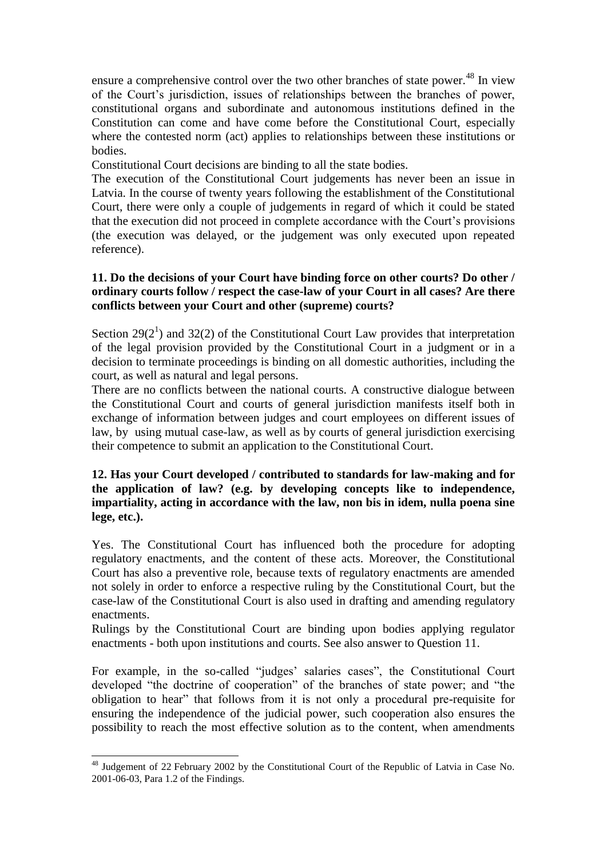ensure a comprehensive control over the two other branches of state power.<sup>48</sup> In view of the Court's jurisdiction, issues of relationships between the branches of power, constitutional organs and subordinate and autonomous institutions defined in the Constitution can come and have come before the Constitutional Court, especially where the contested norm (act) applies to relationships between these institutions or bodies.

Constitutional Court decisions are binding to all the state bodies.

The execution of the Constitutional Court judgements has never been an issue in Latvia. In the course of twenty years following the establishment of the Constitutional Court, there were only a couple of judgements in regard of which it could be stated that the execution did not proceed in complete accordance with the Court's provisions (the execution was delayed, or the judgement was only executed upon repeated reference).

### **11. Do the decisions of your Court have binding force on other courts? Do other / ordinary courts follow / respect the case-law of your Court in all cases? Are there conflicts between your Court and other (supreme) courts?**

Section  $29(2^1)$  and  $32(2)$  of the Constitutional Court Law provides that interpretation of the legal provision provided by the Constitutional Court in a judgment or in a decision to terminate proceedings is binding on all domestic authorities, including the court, as well as natural and legal persons.

There are no conflicts between the national courts. A constructive dialogue between the Constitutional Court and courts of general jurisdiction manifests itself both in exchange of information between judges and court employees on different issues of law, by using mutual case-law, as well as by courts of general jurisdiction exercising their competence to submit an application to the Constitutional Court.

### **12. Has your Court developed / contributed to standards for law-making and for the application of law? (e.g. by developing concepts like to independence, impartiality, acting in accordance with the law, non bis in idem, nulla poena sine lege, etc.).**

Yes. The Constitutional Court has influenced both the procedure for adopting regulatory enactments, and the content of these acts. Moreover, the Constitutional Court has also a preventive role, because texts of regulatory enactments are amended not solely in order to enforce a respective ruling by the Constitutional Court, but the case-law of the Constitutional Court is also used in drafting and amending regulatory enactments.

Rulings by the Constitutional Court are binding upon bodies applying regulator enactments - both upon institutions and courts. See also answer to Question 11.

For example, in the so-called "judges' salaries cases", the Constitutional Court developed "the doctrine of cooperation" of the branches of state power; and "the obligation to hear" that follows from it is not only a procedural pre-requisite for ensuring the independence of the judicial power, such cooperation also ensures the possibility to reach the most effective solution as to the content, when amendments

<sup>&</sup>lt;sup>48</sup> Judgement of 22 February 2002 by the Constitutional Court of the Republic of Latvia in Case No. 2001-06-03, Para 1.2 of the Findings.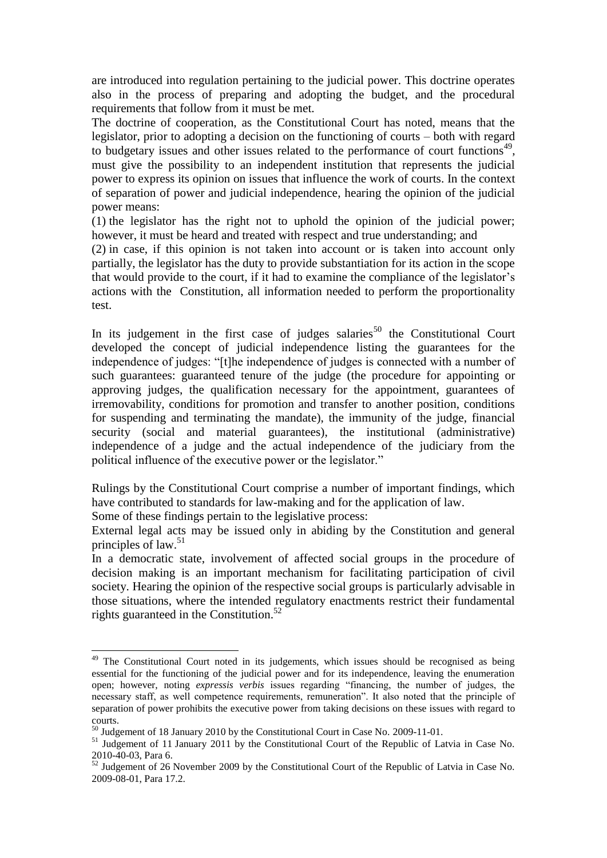are introduced into regulation pertaining to the judicial power. This doctrine operates also in the process of preparing and adopting the budget, and the procedural requirements that follow from it must be met.

The doctrine of cooperation, as the Constitutional Court has noted, means that the legislator, prior to adopting a decision on the functioning of courts – both with regard to budgetary issues and other issues related to the performance of court functions<sup>49</sup>, must give the possibility to an independent institution that represents the judicial power to express its opinion on issues that influence the work of courts. In the context of separation of power and judicial independence, hearing the opinion of the judicial power means:

(1) the legislator has the right not to uphold the opinion of the judicial power; however, it must be heard and treated with respect and true understanding; and

(2) in case, if this opinion is not taken into account or is taken into account only partially, the legislator has the duty to provide substantiation for its action in the scope that would provide to the court, if it had to examine the compliance of the legislator's actions with the Constitution, all information needed to perform the proportionality test.

In its judgement in the first case of judges salaries<sup>50</sup> the Constitutional Court developed the concept of judicial independence listing the guarantees for the independence of judges: "[t]he independence of judges is connected with a number of such guarantees: guaranteed tenure of the judge (the procedure for appointing or approving judges, the qualification necessary for the appointment, guarantees of irremovability, conditions for promotion and transfer to another position, conditions for suspending and terminating the mandate), the immunity of the judge, financial security (social and material guarantees), the institutional (administrative) independence of a judge and the actual independence of the judiciary from the political influence of the executive power or the legislator."

Rulings by the Constitutional Court comprise a number of important findings, which have contributed to standards for law-making and for the application of law.

Some of these findings pertain to the legislative process:

-

External legal acts may be issued only in abiding by the Constitution and general principles of law.<sup>51</sup>

In a democratic state, involvement of affected social groups in the procedure of decision making is an important mechanism for facilitating participation of civil society. Hearing the opinion of the respective social groups is particularly advisable in those situations, where the intended regulatory enactments restrict their fundamental rights guaranteed in the Constitution. $52$ 

<sup>&</sup>lt;sup>49</sup> The Constitutional Court noted in its judgements, which issues should be recognised as being essential for the functioning of the judicial power and for its independence, leaving the enumeration open; however, noting *expressis verbis* issues regarding "financing, the number of judges, the necessary staff, as well competence requirements, remuneration". It also noted that the principle of separation of power prohibits the executive power from taking decisions on these issues with regard to courts.

<sup>50</sup> Judgement of 18 January 2010 by the Constitutional Court in Case No. 2009-11-01.

<sup>&</sup>lt;sup>51</sup> Judgement of 11 January 2011 by the Constitutional Court of the Republic of Latvia in Case No. 2010-40-03, Para 6.

<sup>&</sup>lt;sup>52</sup> Judgement of 26 November 2009 by the Constitutional Court of the Republic of Latvia in Case No. 2009-08-01, Para 17.2.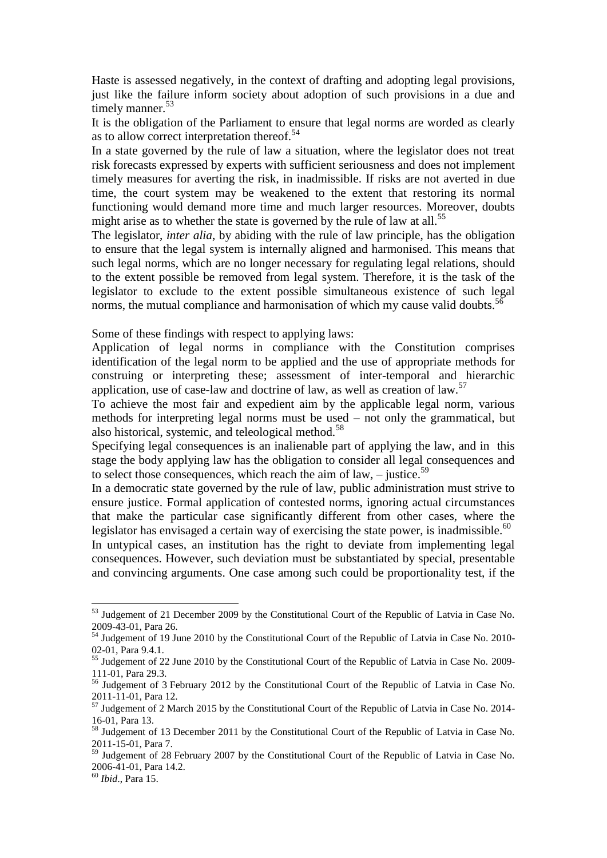Haste is assessed negatively, in the context of drafting and adopting legal provisions, just like the failure inform society about adoption of such provisions in a due and timely manner.<sup>53</sup>

It is the obligation of the Parliament to ensure that legal norms are worded as clearly as to allow correct interpretation thereof.<sup>54</sup>

In a state governed by the rule of law a situation, where the legislator does not treat risk forecasts expressed by experts with sufficient seriousness and does not implement timely measures for averting the risk, in inadmissible. If risks are not averted in due time, the court system may be weakened to the extent that restoring its normal functioning would demand more time and much larger resources. Moreover, doubts might arise as to whether the state is governed by the rule of law at all.<sup>55</sup>

The legislator, *inter alia*, by abiding with the rule of law principle, has the obligation to ensure that the legal system is internally aligned and harmonised. This means that such legal norms, which are no longer necessary for regulating legal relations, should to the extent possible be removed from legal system. Therefore, it is the task of the legislator to exclude to the extent possible simultaneous existence of such legal norms, the mutual compliance and harmonisation of which my cause valid doubts.<sup>56</sup>

Some of these findings with respect to applying laws:

Application of legal norms in compliance with the Constitution comprises identification of the legal norm to be applied and the use of appropriate methods for construing or interpreting these; assessment of inter-temporal and hierarchic application, use of case-law and doctrine of law, as well as creation of law.<sup>57</sup>

To achieve the most fair and expedient aim by the applicable legal norm, various methods for interpreting legal norms must be used – not only the grammatical, but also historical, systemic, and teleological method.<sup>58</sup>

Specifying legal consequences is an inalienable part of applying the law, and in this stage the body applying law has the obligation to consider all legal consequences and to select those consequences, which reach the aim of law, – justice.<sup>59</sup>

In a democratic state governed by the rule of law, public administration must strive to ensure justice. Formal application of contested norms, ignoring actual circumstances that make the particular case significantly different from other cases, where the legislator has envisaged a certain way of exercising the state power, is inadmissible. $^{60}$ In untypical cases, an institution has the right to deviate from implementing legal consequences. However, such deviation must be substantiated by special, presentable and convincing arguments. One case among such could be proportionality test, if the

<sup>60</sup> *Ibid*., Para 15.

<sup>&</sup>lt;sup>53</sup> Judgement of 21 December 2009 by the Constitutional Court of the Republic of Latvia in Case No. 2009-43-01, Para 26.

<sup>54</sup> Judgement of 19 June 2010 by the Constitutional Court of the Republic of Latvia in Case No. 2010-02-01, Para 9.4.1.

<sup>&</sup>lt;sup>55</sup> Judgement of 22 June 2010 by the Constitutional Court of the Republic of Latvia in Case No. 2009-111-01, Para 29.3.

<sup>56</sup> Judgement of 3 February 2012 by the Constitutional Court of the Republic of Latvia in Case No. 2011-11-01, Para 12.

 $57$  Judgement of 2 March 2015 by the Constitutional Court of the Republic of Latvia in Case No. 2014-16-01, Para 13.

<sup>&</sup>lt;sup>58</sup> Judgement of 13 December 2011 by the Constitutional Court of the Republic of Latvia in Case No. 2011-15-01, Para 7.

 $\frac{59}{2}$  Judgement of 28 February 2007 by the Constitutional Court of the Republic of Latvia in Case No. 2006-41-01, Para 14.2.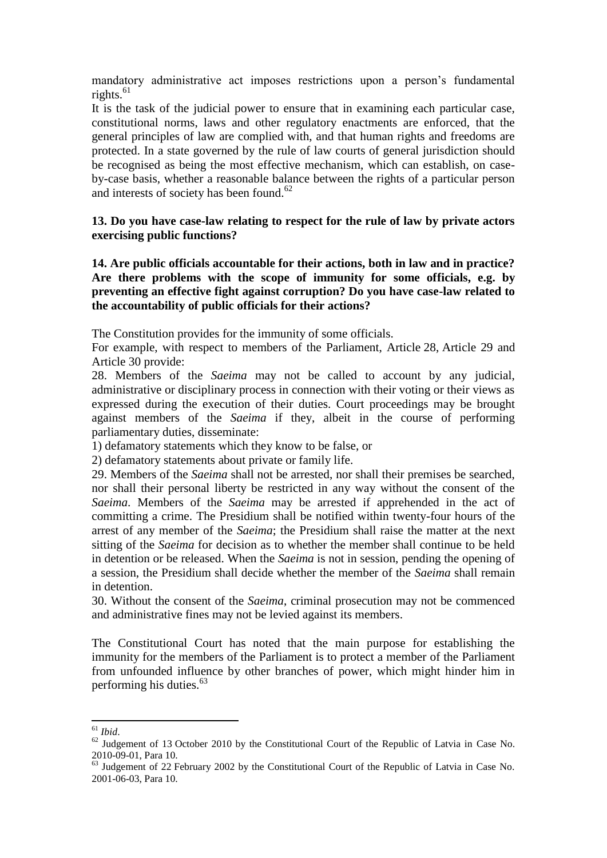mandatory administrative act imposes restrictions upon a person's fundamental rights. $61$ 

It is the task of the judicial power to ensure that in examining each particular case, constitutional norms, laws and other regulatory enactments are enforced, that the general principles of law are complied with, and that human rights and freedoms are protected. In a state governed by the rule of law courts of general jurisdiction should be recognised as being the most effective mechanism, which can establish, on caseby-case basis, whether a reasonable balance between the rights of a particular person and interests of society has been found.<sup>62</sup>

### **13. Do you have case-law relating to respect for the rule of law by private actors exercising public functions?**

**14. Are public officials accountable for their actions, both in law and in practice? Are there problems with the scope of immunity for some officials, e.g. by preventing an effective fight against corruption? Do you have case-law related to the accountability of public officials for their actions?**

The Constitution provides for the immunity of some officials.

For example, with respect to members of the Parliament, Article 28, Article 29 and Article 30 provide:

28. Members of the *Saeima* may not be called to account by any judicial, administrative or disciplinary process in connection with their voting or their views as expressed during the execution of their duties. Court proceedings may be brought against members of the *Saeima* if they, albeit in the course of performing parliamentary duties, disseminate:

1) defamatory statements which they know to be false, or

2) defamatory statements about private or family life.

29. Members of the *Saeima* shall not be arrested, nor shall their premises be searched, nor shall their personal liberty be restricted in any way without the consent of the *Saeima*. Members of the *Saeima* may be arrested if apprehended in the act of committing a crime. The Presidium shall be notified within twenty-four hours of the arrest of any member of the *Saeima*; the Presidium shall raise the matter at the next sitting of the *Saeima* for decision as to whether the member shall continue to be held in detention or be released. When the *Saeima* is not in session, pending the opening of a session, the Presidium shall decide whether the member of the *Saeima* shall remain in detention.

30. Without the consent of the *Saeima*, criminal prosecution may not be commenced and administrative fines may not be levied against its members.

The Constitutional Court has noted that the main purpose for establishing the immunity for the members of the Parliament is to protect a member of the Parliament from unfounded influence by other branches of power, which might hinder him in performing his duties. $63$ 

<sup>-</sup><sup>61</sup> *Ibid*.

 $62$  Judgement of 13 October 2010 by the Constitutional Court of the Republic of Latvia in Case No. 2010-09-01, Para 10.

<sup>&</sup>lt;sup>63</sup> Judgement of 22 February 2002 by the Constitutional Court of the Republic of Latvia in Case No. 2001-06-03, Para 10.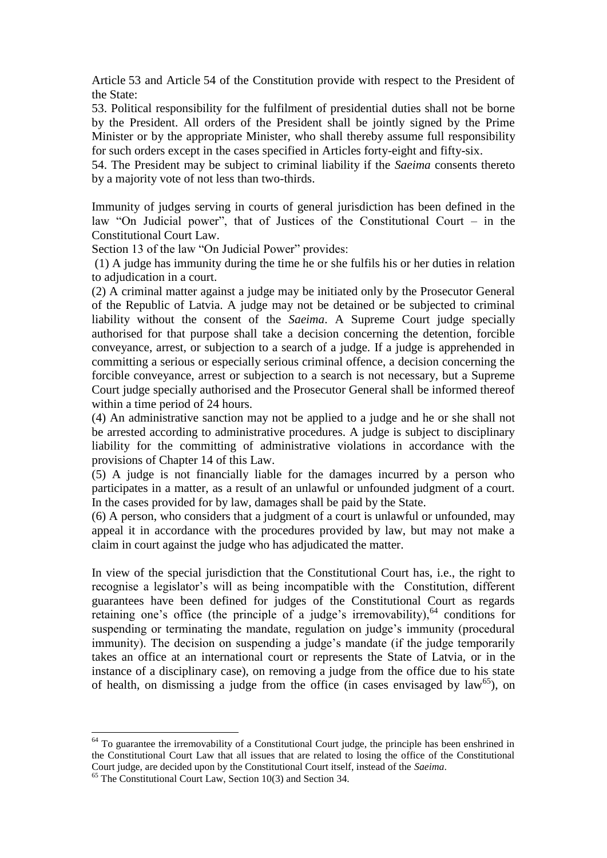Article 53 and Article 54 of the Constitution provide with respect to the President of the State:

53. Political responsibility for the fulfilment of presidential duties shall not be borne by the President. All orders of the President shall be jointly signed by the Prime Minister or by the appropriate Minister, who shall thereby assume full responsibility for such orders except in the cases specified in Articles forty-eight and fifty-six.

54. The President may be subject to criminal liability if the *Saeima* consents thereto by a majority vote of not less than two-thirds.

Immunity of judges serving in courts of general jurisdiction has been defined in the law "On Judicial power", that of Justices of the Constitutional Court – in the Constitutional Court Law.

Section 13 of the law "On Judicial Power" provides:

(1) A judge has immunity during the time he or she fulfils his or her duties in relation to adjudication in a court.

(2) A criminal matter against a judge may be initiated only by the Prosecutor General of the Republic of Latvia. A judge may not be detained or be subjected to criminal liability without the consent of the *Saeima*. A Supreme Court judge specially authorised for that purpose shall take a decision concerning the detention, forcible conveyance, arrest, or subjection to a search of a judge. If a judge is apprehended in committing a serious or especially serious criminal offence, a decision concerning the forcible conveyance, arrest or subjection to a search is not necessary, but a Supreme Court judge specially authorised and the Prosecutor General shall be informed thereof within a time period of 24 hours.

(4) An administrative sanction may not be applied to a judge and he or she shall not be arrested according to administrative procedures. A judge is subject to disciplinary liability for the committing of administrative violations in accordance with the provisions of Chapter 14 of this Law.

(5) A judge is not financially liable for the damages incurred by a person who participates in a matter, as a result of an unlawful or unfounded judgment of a court. In the cases provided for by law, damages shall be paid by the State.

(6) A person, who considers that a judgment of a court is unlawful or unfounded, may appeal it in accordance with the procedures provided by law, but may not make a claim in court against the judge who has adjudicated the matter.

In view of the special jurisdiction that the Constitutional Court has, i.e., the right to recognise a legislator's will as being incompatible with the Constitution, different guarantees have been defined for judges of the Constitutional Court as regards retaining one's office (the principle of a judge's irremovability), $64$  conditions for suspending or terminating the mandate, regulation on judge's immunity (procedural immunity). The decision on suspending a judge's mandate (if the judge temporarily takes an office at an international court or represents the State of Latvia, or in the instance of a disciplinary case), on removing a judge from the office due to his state of health, on dismissing a judge from the office (in cases envisaged by  $law^{65}$ ), on

 $64$  To guarantee the irremovability of a Constitutional Court judge, the principle has been enshrined in the Constitutional Court Law that all issues that are related to losing the office of the Constitutional Court judge, are decided upon by the Constitutional Court itself, instead of the *Saeima*.

<sup>&</sup>lt;sup>65</sup> The Constitutional Court Law, Section 10(3) and Section 34.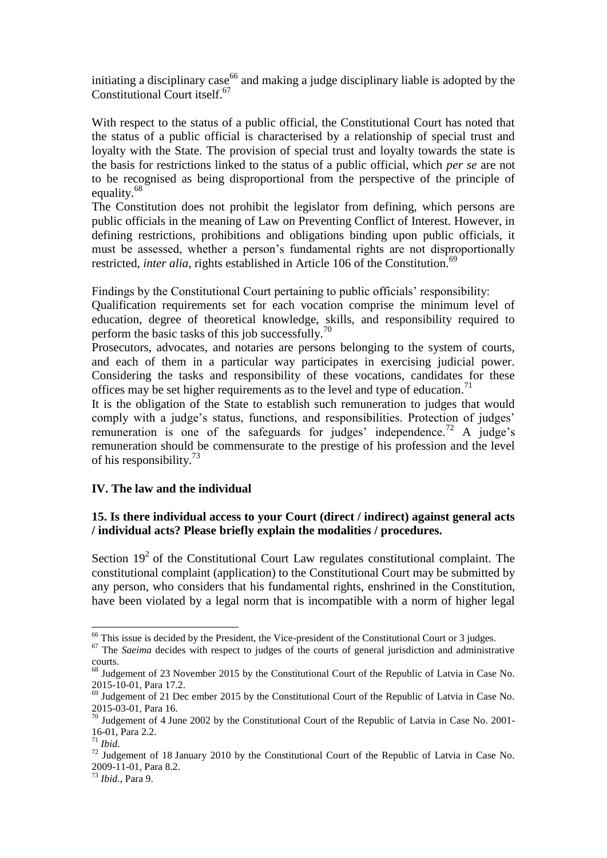initiating a disciplinary case<sup>66</sup> and making a judge disciplinary liable is adopted by the Constitutional Court itself.<sup>67</sup>

With respect to the status of a public official, the Constitutional Court has noted that the status of a public official is characterised by a relationship of special trust and loyalty with the State. The provision of special trust and loyalty towards the state is the basis for restrictions linked to the status of a public official, which *per se* are not to be recognised as being disproportional from the perspective of the principle of equality.<sup>68</sup>

The Constitution does not prohibit the legislator from defining, which persons are public officials in the meaning of Law on Preventing Conflict of Interest. However, in defining restrictions, prohibitions and obligations binding upon public officials, it must be assessed, whether a person's fundamental rights are not disproportionally restricted, *inter alia*, rights established in Article 106 of the Constitution.<sup>69</sup>

Findings by the Constitutional Court pertaining to public officials' responsibility:

Qualification requirements set for each vocation comprise the minimum level of education, degree of theoretical knowledge, skills, and responsibility required to perform the basic tasks of this job successfully.<sup>70</sup>

Prosecutors, advocates, and notaries are persons belonging to the system of courts, and each of them in a particular way participates in exercising judicial power. Considering the tasks and responsibility of these vocations, candidates for these offices may be set higher requirements as to the level and type of education.<sup>71</sup>

It is the obligation of the State to establish such remuneration to judges that would comply with a judge's status, functions, and responsibilities. Protection of judges' remuneration is one of the safeguards for judges' independence.<sup>72</sup> A judge's remuneration should be commensurate to the prestige of his profession and the level of his responsibility.<sup>73</sup>

## **IV. The law and the individual**

## **15. Is there individual access to your Court (direct / indirect) against general acts / individual acts? Please briefly explain the modalities / procedures.**

Section  $19<sup>2</sup>$  of the Constitutional Court Law regulates constitutional complaint. The constitutional complaint (application) to the Constitutional Court may be submitted by any person, who considers that his fundamental rights, enshrined in the Constitution, have been violated by a legal norm that is incompatible with a norm of higher legal

<sup>&</sup>lt;sup>66</sup> This issue is decided by the President, the Vice-president of the Constitutional Court or 3 judges.

<sup>&</sup>lt;sup>67</sup> The *Saeima* decides with respect to judges of the courts of general jurisdiction and administrative courts.

<sup>&</sup>lt;sup>68</sup> Judgement of 23 November 2015 by the Constitutional Court of the Republic of Latvia in Case No. 2015-10-01, Para 17.2.

<sup>69</sup> Judgement of 21 Dec ember 2015 by the Constitutional Court of the Republic of Latvia in Case No. 2015-03-01, Para 16.

<sup>&</sup>lt;sup>70</sup> Judgement of 4 June 2002 by the Constitutional Court of the Republic of Latvia in Case No. 2001-16-01, Para 2.2.

<sup>71</sup> *Ibid*.

 $72$  Judgement of 18 January 2010 by the Constitutional Court of the Republic of Latvia in Case No. 2009-11-01, Para 8.2.

<sup>73</sup> *Ibid*., Para 9.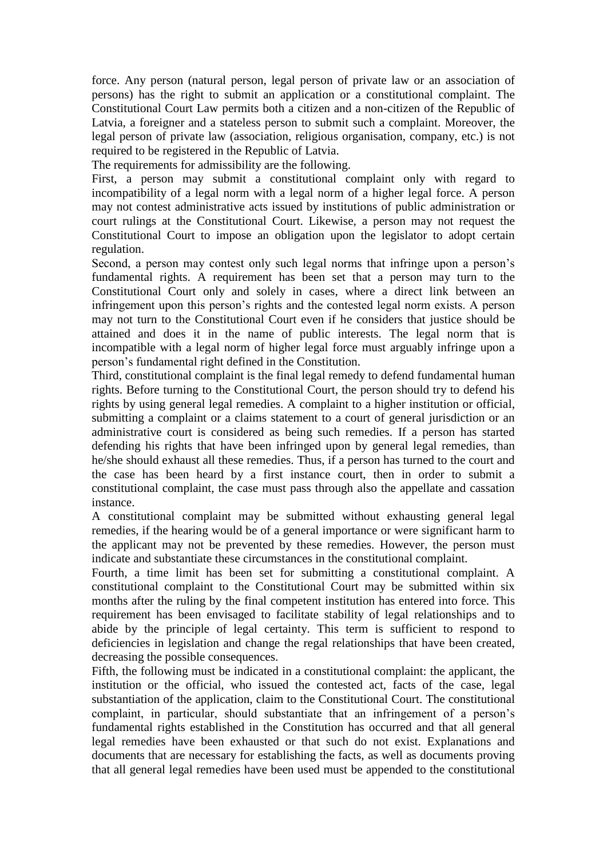force. Any person (natural person, legal person of private law or an association of persons) has the right to submit an application or a constitutional complaint. The Constitutional Court Law permits both a citizen and a non-citizen of the Republic of Latvia, a foreigner and a stateless person to submit such a complaint. Moreover, the legal person of private law (association, religious organisation, company, etc.) is not required to be registered in the Republic of Latvia.

The requirements for admissibility are the following.

First, a person may submit a constitutional complaint only with regard to incompatibility of a legal norm with a legal norm of a higher legal force. A person may not contest administrative acts issued by institutions of public administration or court rulings at the Constitutional Court. Likewise, a person may not request the Constitutional Court to impose an obligation upon the legislator to adopt certain regulation.

Second, a person may contest only such legal norms that infringe upon a person's fundamental rights. A requirement has been set that a person may turn to the Constitutional Court only and solely in cases, where a direct link between an infringement upon this person's rights and the contested legal norm exists. A person may not turn to the Constitutional Court even if he considers that justice should be attained and does it in the name of public interests. The legal norm that is incompatible with a legal norm of higher legal force must arguably infringe upon a person's fundamental right defined in the Constitution.

Third, constitutional complaint is the final legal remedy to defend fundamental human rights. Before turning to the Constitutional Court, the person should try to defend his rights by using general legal remedies. A complaint to a higher institution or official, submitting a complaint or a claims statement to a court of general jurisdiction or an administrative court is considered as being such remedies. If a person has started defending his rights that have been infringed upon by general legal remedies, than he/she should exhaust all these remedies. Thus, if a person has turned to the court and the case has been heard by a first instance court, then in order to submit a constitutional complaint, the case must pass through also the appellate and cassation instance.

A constitutional complaint may be submitted without exhausting general legal remedies, if the hearing would be of a general importance or were significant harm to the applicant may not be prevented by these remedies. However, the person must indicate and substantiate these circumstances in the constitutional complaint.

Fourth, a time limit has been set for submitting a constitutional complaint. A constitutional complaint to the Constitutional Court may be submitted within six months after the ruling by the final competent institution has entered into force. This requirement has been envisaged to facilitate stability of legal relationships and to abide by the principle of legal certainty. This term is sufficient to respond to deficiencies in legislation and change the regal relationships that have been created, decreasing the possible consequences.

Fifth, the following must be indicated in a constitutional complaint: the applicant, the institution or the official, who issued the contested act, facts of the case, legal substantiation of the application, claim to the Constitutional Court. The constitutional complaint, in particular, should substantiate that an infringement of a person's fundamental rights established in the Constitution has occurred and that all general legal remedies have been exhausted or that such do not exist. Explanations and documents that are necessary for establishing the facts, as well as documents proving that all general legal remedies have been used must be appended to the constitutional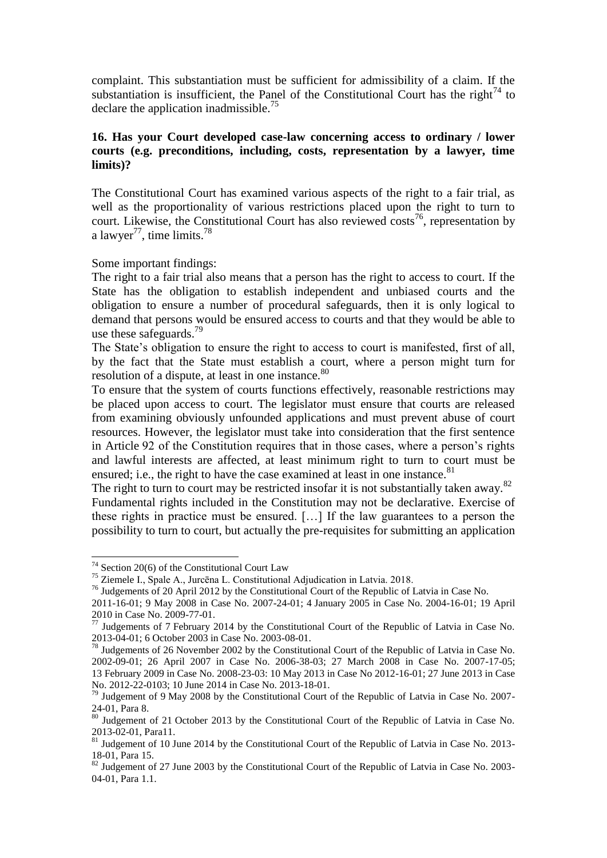complaint. This substantiation must be sufficient for admissibility of a claim. If the substantiation is insufficient, the Panel of the Constitutional Court has the right<sup>74</sup> to declare the application inadmissible.<sup>75</sup>

### **16. Has your Court developed case-law concerning access to ordinary / lower courts (e.g. preconditions, including, costs, representation by a lawyer, time limits)?**

The Constitutional Court has examined various aspects of the right to a fair trial, as well as the proportionality of various restrictions placed upon the right to turn to court. Likewise, the Constitutional Court has also reviewed  $\cos^{-1/6}$ , representation by a lawyer<sup>77</sup>, time limits.<sup>78</sup>

#### Some important findings:

The right to a fair trial also means that a person has the right to access to court. If the State has the obligation to establish independent and unbiased courts and the obligation to ensure a number of procedural safeguards, then it is only logical to demand that persons would be ensured access to courts and that they would be able to use these safeguards. $^{79}$ 

The State's obligation to ensure the right to access to court is manifested, first of all, by the fact that the State must establish a court, where a person might turn for resolution of a dispute, at least in one instance.<sup>80</sup>

To ensure that the system of courts functions effectively, reasonable restrictions may be placed upon access to court. The legislator must ensure that courts are released from examining obviously unfounded applications and must prevent abuse of court resources. However, the legislator must take into consideration that the first sentence in Article 92 of the Constitution requires that in those cases, where a person's rights and lawful interests are affected, at least minimum right to turn to court must be ensured; i.e., the right to have the case examined at least in one instance.<sup>81</sup>

The right to turn to court may be restricted insofar it is not substantially taken away.<sup>82</sup> Fundamental rights included in the Constitution may not be declarative. Exercise of these rights in practice must be ensured. […] If the law guarantees to a person the possibility to turn to court, but actually the pre-requisites for submitting an application

 $74$  Section 20(6) of the Constitutional Court Law

<sup>75</sup> Ziemele I., Spale A., Jurcēna L. Constitutional Adjudication in Latvia. 2018.

<sup>76</sup> Judgements of 20 April 2012 by the Constitutional Court of the Republic of Latvia in Case No.

<sup>2011-16-01; 9</sup> May 2008 in Case No. 2007-24-01; 4 January 2005 in Case No. 2004-16-01; 19 April 2010 in Case No. 2009-77-01.

 $^{77}$  Judgements of 7 February 2014 by the Constitutional Court of the Republic of Latvia in Case No. 2013-04-01; 6 October 2003 in Case No. 2003-08-01.

<sup>&</sup>lt;sup>78</sup> Judgements of 26 November 2002 by the Constitutional Court of the Republic of Latvia in Case No. 2002-09-01; 26 April 2007 in Case No. 2006-38-03; 27 March 2008 in Case No. 2007-17-05; 13 February 2009 in Case No. 2008-23-03: 10 May 2013 in Case No 2012-16-01; 27 June 2013 in Case No. 2012-22-0103; 10 June 2014 in Case No. 2013-18-01.

 $79$  Judgement of 9 May 2008 by the Constitutional Court of the Republic of Latvia in Case No. 2007-24-01, Para 8.

<sup>&</sup>lt;sup>80</sup> Judgement of 21 October 2013 by the Constitutional Court of the Republic of Latvia in Case No. 2013-02-01, Para11.

<sup>&</sup>lt;sup>81</sup> Judgement of 10 June 2014 by the Constitutional Court of the Republic of Latvia in Case No. 2013-18-01, Para 15.

<sup>&</sup>lt;sup>82</sup> Judgement of 27 June 2003 by the Constitutional Court of the Republic of Latvia in Case No. 2003-04-01, Para 1.1.